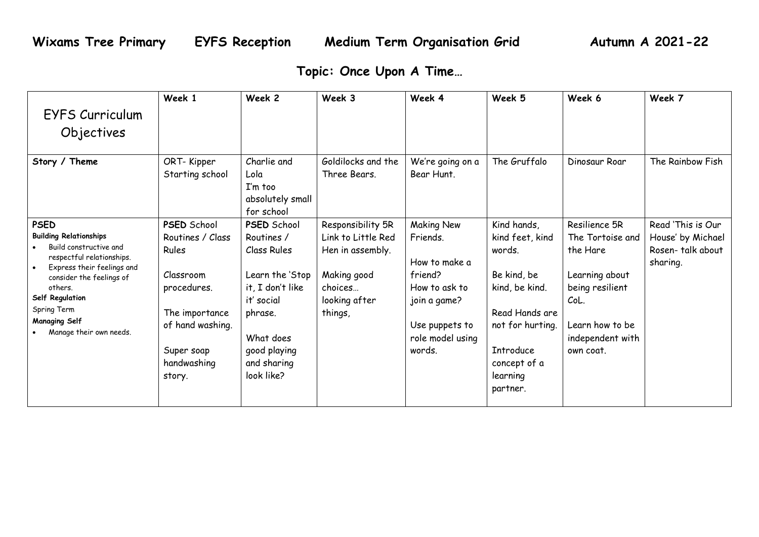## **Topic: Once Upon A Time…**

|                                                                                                                                                                                                                                                               | Week 1                                                                                                                                                   | Week 2                                                                                                                                                                    | Week 3                                                                                                            | Week 4                                                                                                                                     | Week 5                                                                                                                                                                      | Week 6                                                                                                                                         | Week 7                                                                 |
|---------------------------------------------------------------------------------------------------------------------------------------------------------------------------------------------------------------------------------------------------------------|----------------------------------------------------------------------------------------------------------------------------------------------------------|---------------------------------------------------------------------------------------------------------------------------------------------------------------------------|-------------------------------------------------------------------------------------------------------------------|--------------------------------------------------------------------------------------------------------------------------------------------|-----------------------------------------------------------------------------------------------------------------------------------------------------------------------------|------------------------------------------------------------------------------------------------------------------------------------------------|------------------------------------------------------------------------|
| EYFS Curriculum                                                                                                                                                                                                                                               |                                                                                                                                                          |                                                                                                                                                                           |                                                                                                                   |                                                                                                                                            |                                                                                                                                                                             |                                                                                                                                                |                                                                        |
| Objectives                                                                                                                                                                                                                                                    |                                                                                                                                                          |                                                                                                                                                                           |                                                                                                                   |                                                                                                                                            |                                                                                                                                                                             |                                                                                                                                                |                                                                        |
| Story / Theme                                                                                                                                                                                                                                                 | ORT-Kipper<br>Starting school                                                                                                                            | Charlie and<br>Lola<br>I'm too<br>absolutely small<br>for school                                                                                                          | Goldilocks and the<br>Three Bears.                                                                                | We're going on a<br>Bear Hunt.                                                                                                             | The Gruffalo                                                                                                                                                                | Dinosaur Roar                                                                                                                                  | The Rainbow Fish                                                       |
| <b>PSED</b><br><b>Building Relationships</b><br>Build constructive and<br>respectful relationships.<br>Express their feelings and<br>consider the feelings of<br>others.<br>Self Regulation<br>Spring Term<br><b>Managing Self</b><br>Manage their own needs. | <b>PSED School</b><br>Routines / Class<br>Rules<br>Classroom<br>procedures.<br>The importance<br>of hand washing.<br>Super soap<br>handwashing<br>story. | <b>PSED School</b><br>Routines /<br>Class Rules<br>Learn the 'Stop<br>it, I don't like<br>it' social<br>phrase.<br>What does<br>good playing<br>and sharing<br>look like? | Responsibility 5R<br>Link to Little Red<br>Hen in assembly.<br>Making good<br>choices<br>looking after<br>things, | <b>Making New</b><br>Friends.<br>How to make a<br>friend?<br>How to ask to<br>join a game?<br>Use puppets to<br>role model using<br>words. | Kind hands,<br>kind feet, kind<br>words.<br>Be kind, be<br>kind, be kind.<br>Read Hands are<br>not for hurting.<br><b>Introduce</b><br>concept of a<br>learning<br>partner. | Resilience 5R<br>The Tortoise and<br>the Hare<br>Learning about<br>being resilient<br>CoL.<br>Learn how to be<br>independent with<br>own coat. | Read 'This is Our<br>House' by Michael<br>Rosen-talk about<br>sharing. |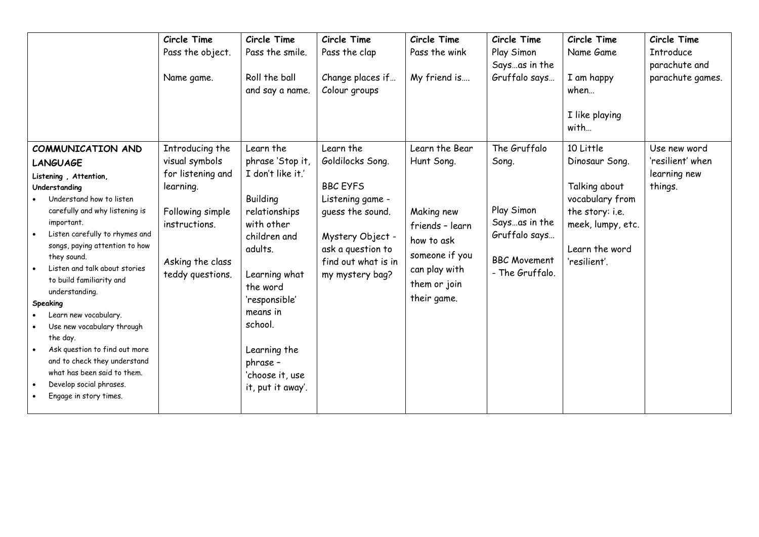|                                                                                                                                                                                                                                                                                                                                                                                                                                                                                                                                                                                     | Circle Time<br>Pass the object.<br>Name game.                                                                                                    | Circle Time<br>Pass the smile.<br>Roll the ball<br>and say a name.                                                                                                                                                                                                | Circle Time<br>Pass the clap<br>Change places if<br>Colour groups                                                                                                           | Circle Time<br>Pass the wink<br>My friend is                                                                                                  | Circle Time<br>Play Simon<br>Saysas in the<br>Gruffalo says                                                     | Circle Time<br>Name Game<br>I am happy<br>when<br>I like playing<br>with                                                                  | Circle Time<br><b>Introduce</b><br>parachute and<br>parachute games. |
|-------------------------------------------------------------------------------------------------------------------------------------------------------------------------------------------------------------------------------------------------------------------------------------------------------------------------------------------------------------------------------------------------------------------------------------------------------------------------------------------------------------------------------------------------------------------------------------|--------------------------------------------------------------------------------------------------------------------------------------------------|-------------------------------------------------------------------------------------------------------------------------------------------------------------------------------------------------------------------------------------------------------------------|-----------------------------------------------------------------------------------------------------------------------------------------------------------------------------|-----------------------------------------------------------------------------------------------------------------------------------------------|-----------------------------------------------------------------------------------------------------------------|-------------------------------------------------------------------------------------------------------------------------------------------|----------------------------------------------------------------------|
| COMMUNICATION AND<br>LANGUAGE<br>Listening, Attention,<br>Understanding<br>Understand how to listen<br>carefully and why listening is<br>important.<br>Listen carefully to rhymes and<br>songs, paying attention to how<br>they sound.<br>Listen and talk about stories<br>to build familiarity and<br>understanding.<br>Speaking<br>Learn new vocabulary.<br>Use new vocabulary through<br>the day.<br>Ask question to find out more<br>$\bullet$<br>and to check they understand<br>what has been said to them.<br>Develop social phrases.<br>$\bullet$<br>Engage in story times. | Introducing the<br>visual symbols<br>for listening and<br>learning.<br>Following simple<br>instructions.<br>Asking the class<br>teddy questions. | Learn the<br>phrase 'Stop it,<br>I don't like it.'<br>Building<br>relationships<br>with other<br>children and<br>adults.<br>Learning what<br>the word<br>'responsible'<br>means in<br>school.<br>Learning the<br>phrase -<br>'choose it, use<br>it, put it away'. | Learn the<br>Goldilocks Song.<br><b>BBC EYFS</b><br>Listening game -<br>quess the sound.<br>Mystery Object -<br>ask a question to<br>find out what is in<br>my mystery bag? | Learn the Bear<br>Hunt Song.<br>Making new<br>friends - learn<br>how to ask<br>someone if you<br>can play with<br>them or join<br>their game. | The Gruffalo<br>Song.<br>Play Simon<br>Saysas in the<br>Gruffalo says<br><b>BBC Movement</b><br>- The Gruffalo. | 10 Little<br>Dinosaur Song.<br>Talking about<br>vocabulary from<br>the story: i.e.<br>meek, lumpy, etc.<br>Learn the word<br>'resilient'. | Use new word<br>'resilient' when<br>learning new<br>things.          |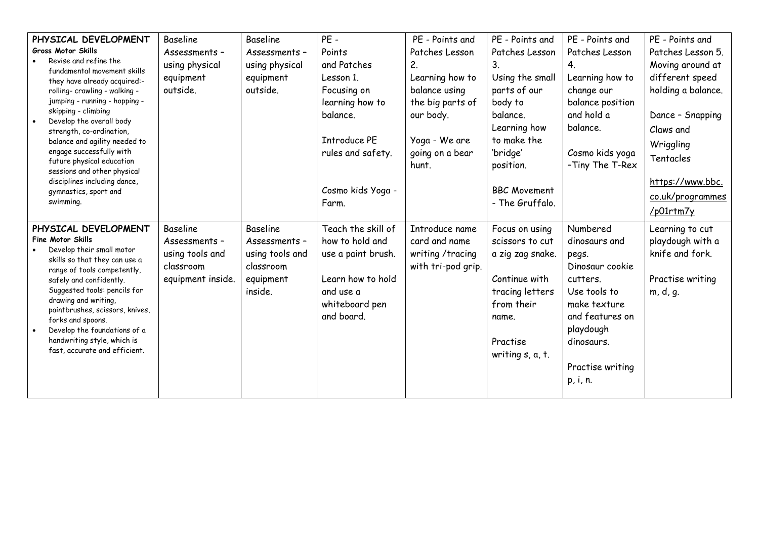| PHYSICAL DEVELOPMENT                                         | <b>Baseline</b>   | <b>Baseline</b> | $PE -$              | PE - Points and    | PE - Points and           | PE - Points and  | PE - Points and    |
|--------------------------------------------------------------|-------------------|-----------------|---------------------|--------------------|---------------------------|------------------|--------------------|
| <b>Gross Motor Skills</b><br>Revise and refine the           | Assessments -     | Assessments -   | Points              | Patches Lesson     | Patches Lesson            | Patches Lesson   | Patches Lesson 5.  |
| fundamental movement skills                                  | using physical    | using physical  | and Patches         | $2_{\cdot}$        | 3                         | 4.               | Moving around at   |
| they have already acquired:-                                 | equipment         | equipment       | Lesson 1.           | Learning how to    | Using the small           | Learning how to  | different speed    |
| rolling- crawling - walking -                                | outside.          | outside.        | Focusing on         | balance using      | parts of our              | change our       | holding a balance. |
| jumping - running - hopping -                                |                   |                 | learning how to     | the big parts of   | body to                   | balance position |                    |
| skipping - climbing                                          |                   |                 | balance.            | our body.          | balance.                  | and hold a       | Dance - Snapping   |
| Develop the overall body<br>strength, co-ordination,         |                   |                 |                     |                    | Learning how              | balance.         | Claws and          |
| balance and agility needed to                                |                   |                 | <b>Introduce PE</b> | Yoga - We are      | to make the               |                  | Wriggling          |
| engage successfully with                                     |                   |                 | rules and safety.   | going on a bear    | 'bridge'                  | Cosmo kids yoga  |                    |
| future physical education                                    |                   |                 |                     | hunt.              | position.                 | -Tiny The T-Rex  | Tentacles          |
| sessions and other physical<br>disciplines including dance,  |                   |                 |                     |                    |                           |                  | https://www.bbc.   |
| gymnastics, sport and                                        |                   |                 | Cosmo kids Yoga -   |                    | <b>BBC Movement</b>       |                  |                    |
| swimming.                                                    |                   |                 | Farm.               |                    | - The Gruffalo.           |                  | co.uk/programmes   |
|                                                              |                   |                 |                     |                    |                           |                  | /p01rtm7y          |
| PHYSICAL DEVELOPMENT                                         | <b>Baseline</b>   | Baseline        | Teach the skill of  | Introduce name     | Focus on using            | Numbered         | Learning to cut    |
| <b>Fine Motor Skills</b>                                     | Assessments -     | Assessments -   | how to hold and     | card and name      | scissors to cut           | dinosaurs and    | playdough with a   |
| Develop their small motor                                    | using tools and   | using tools and | use a paint brush.  | writing /tracing   | a zig zag snake.          | pegs.            | knife and fork.    |
| skills so that they can use a<br>range of tools competently, | classroom         | classroom       |                     | with tri-pod grip. |                           | Dinosaur cookie  |                    |
| safely and confidently.                                      | equipment inside. | equipment       | Learn how to hold   |                    | Continue with             | cutters.         | Practise writing   |
| Suggested tools: pencils for                                 |                   | inside.         | and use a           |                    | tracing letters           | Use tools to     | m, d, q.           |
| drawing and writing,                                         |                   |                 | whiteboard pen      |                    | from their                | make texture     |                    |
| paintbrushes, scissors, knives,                              |                   |                 | and board.          |                    | name.                     | and features on  |                    |
| forks and spoons.<br>Develop the foundations of a            |                   |                 |                     |                    |                           | playdough        |                    |
| handwriting style, which is                                  |                   |                 |                     |                    | Practise                  | dinosaurs.       |                    |
| fast, accurate and efficient.                                |                   |                 |                     |                    | writing $s$ , $a$ , $t$ . |                  |                    |
|                                                              |                   |                 |                     |                    |                           | Practise writing |                    |
|                                                              |                   |                 |                     |                    |                           |                  |                    |
|                                                              |                   |                 |                     |                    |                           | p, i, n.         |                    |
|                                                              |                   |                 |                     |                    |                           |                  |                    |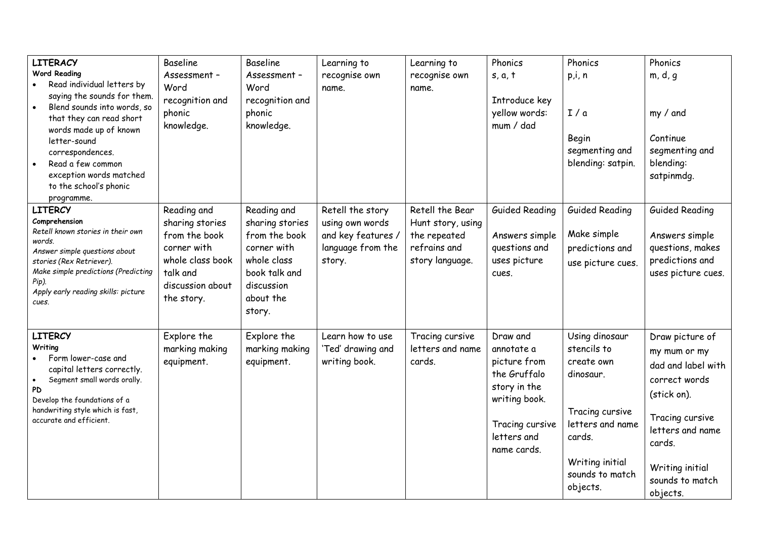| <b>LITERACY</b><br><b>Word Reading</b><br>Read individual letters by<br>saying the sounds for them.<br>Blend sounds into words, so<br>that they can read short<br>words made up of known<br>letter-sound<br>correspondences.<br>Read a few common<br>exception words matched<br>to the school's phonic<br>programme. | <b>Baseline</b><br>Assessment -<br>Word<br>recognition and<br>phonic<br>knowledge.                                               | <b>Baseline</b><br>Assessment -<br>Word<br>recognition and<br>phonic<br>knowledge.                                                  | Learning to<br>recognise own<br>name.                                                    | Learning to<br>recognise own<br>name.                                                   | Phonics<br>s, a, t<br>Introduce key<br>yellow words:<br>mum / dad                                                                        | Phonics<br>p,i, n<br>I/a<br>Begin<br>segmenting and<br>blending: satpin.                                                                                    | Phonics<br>m, d, g<br>my / and<br>Continue<br>segmenting and<br>blending:<br>satpinmdg.                                                                                                  |
|----------------------------------------------------------------------------------------------------------------------------------------------------------------------------------------------------------------------------------------------------------------------------------------------------------------------|----------------------------------------------------------------------------------------------------------------------------------|-------------------------------------------------------------------------------------------------------------------------------------|------------------------------------------------------------------------------------------|-----------------------------------------------------------------------------------------|------------------------------------------------------------------------------------------------------------------------------------------|-------------------------------------------------------------------------------------------------------------------------------------------------------------|------------------------------------------------------------------------------------------------------------------------------------------------------------------------------------------|
| LITERCY<br>Comprehension<br>Retell known stories in their own<br>words.<br>Answer simple questions about<br>stories (Rex Retriever).<br>Make simple predictions (Predicting<br>Pip).<br>Apply early reading skills: picture<br>cues.                                                                                 | Reading and<br>sharing stories<br>from the book<br>corner with<br>whole class book<br>talk and<br>discussion about<br>the story. | Reading and<br>sharing stories<br>from the book<br>corner with<br>whole class<br>book talk and<br>discussion<br>about the<br>story. | Retell the story<br>using own words<br>and key features /<br>language from the<br>story. | Retell the Bear<br>Hunt story, using<br>the repeated<br>refrains and<br>story language. | <b>Guided Reading</b><br>Answers simple<br>questions and<br>uses picture<br>cues.                                                        | <b>Guided Reading</b><br>Make simple<br>predictions and<br>use picture cues.                                                                                | <b>Guided Reading</b><br>Answers simple<br>questions, makes<br>predictions and<br>uses picture cues.                                                                                     |
| <b>LITERCY</b><br>Writing<br>Form lower-case and<br>capital letters correctly.<br>Segment small words orally.<br><b>PD</b><br>Develop the foundations of a<br>handwriting style which is fast,<br>accurate and efficient.                                                                                            | Explore the<br>marking making<br>equipment.                                                                                      | Explore the<br>marking making<br>equipment.                                                                                         | Learn how to use<br>'Ted' drawing and<br>writing book.                                   | Tracing cursive<br>letters and name<br>cards.                                           | Draw and<br>annotate a<br>picture from<br>the Gruffalo<br>story in the<br>writing book.<br>Tracing cursive<br>letters and<br>name cards. | Using dinosaur<br>stencils to<br>create own<br>dinosaur.<br>Tracing cursive<br>letters and name<br>cards.<br>Writing initial<br>sounds to match<br>objects. | Draw picture of<br>my mum or my<br>dad and label with<br>correct words<br>(stick on).<br>Tracing cursive<br>letters and name<br>cards.<br>Writing initial<br>sounds to match<br>objects. |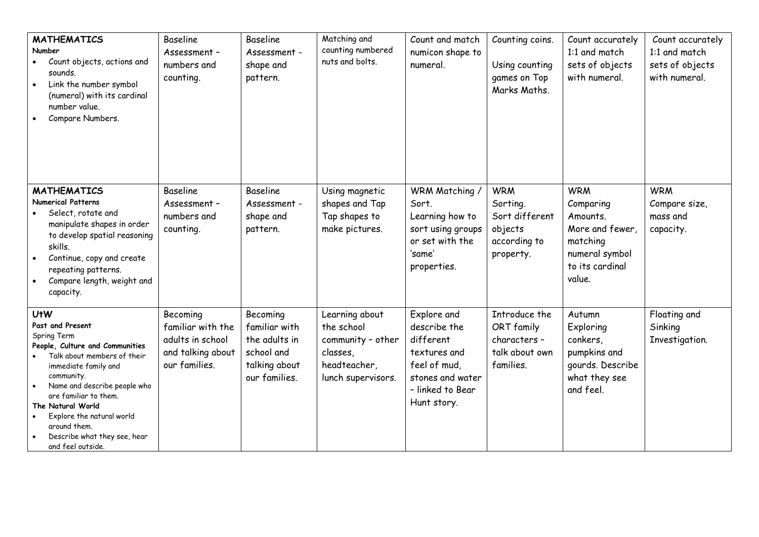| <b>MATHEMATICS</b><br>Number<br>Count objects, actions and<br>sounds.<br>Link the number symbol<br>(numeral) with its cardinal<br>number value.<br>Compare Numbers.                                                                                                                                                                   | Baseline<br>Assessment -<br>numbers and<br>counting.                                    | Baseline<br>Assessment -<br>shape and<br>pattern.                                          | Matching and<br>counting numbered<br>nuts and bolts.                                                | Count and match<br>numicon shape to<br>numeral.                                                                                 | Counting coins.<br>Using counting<br>games on Top<br>Marks Maths.                | Count accurately<br>1:1 and match<br>sets of objects<br>with numeral.                                             | Count accurately<br>1:1 and match<br>sets of objects<br>with numeral. |
|---------------------------------------------------------------------------------------------------------------------------------------------------------------------------------------------------------------------------------------------------------------------------------------------------------------------------------------|-----------------------------------------------------------------------------------------|--------------------------------------------------------------------------------------------|-----------------------------------------------------------------------------------------------------|---------------------------------------------------------------------------------------------------------------------------------|----------------------------------------------------------------------------------|-------------------------------------------------------------------------------------------------------------------|-----------------------------------------------------------------------|
| <b>MATHEMATICS</b><br><b>Numerical Patterns</b><br>Select, rotate and<br>manipulate shapes in order<br>to develop spatial reasoning<br>skills.<br>Continue, copy and create<br>repeating patterns.<br>Compare length, weight and<br>capacity.                                                                                         | <b>Baseline</b><br>Assessment -<br>numbers and<br>counting.                             | Baseline<br>Assessment -<br>shape and<br>pattern.                                          | Using magnetic<br>shapes and Tap<br>Tap shapes to<br>make pictures.                                 | WRM Matching /<br>Sort.<br>Learning how to<br>sort using groups<br>or set with the<br>'same'<br>properties.                     | <b>WRM</b><br>Sorting.<br>Sort different<br>objects<br>according to<br>property. | <b>WRM</b><br>Comparing<br>Amounts.<br>More and fewer,<br>matching<br>numeral symbol<br>to its cardinal<br>value. | <b>WRM</b><br>Compare size,<br>mass and<br>capacity.                  |
| <b>UtW</b><br>Past and Present<br>Spring Term<br>People, Culture and Communities<br>Talk about members of their<br>immediate family and<br>community.<br>Name and describe people who<br>are familiar to them.<br>The Natural World<br>Explore the natural world<br>around them.<br>Describe what they see, hear<br>and feel outside. | Becoming<br>familiar with the<br>adults in school<br>and talking about<br>our families. | Becoming<br>familiar with<br>the adults in<br>school and<br>talking about<br>our families. | Learning about<br>the school<br>community - other<br>classes,<br>headteacher,<br>lunch supervisors. | Explore and<br>describe the<br>different<br>textures and<br>feel of mud,<br>stones and water<br>- linked to Bear<br>Hunt story. | Introduce the<br>ORT family<br>characters -<br>talk about own<br>families.       | Autumn<br>Exploring<br>conkers,<br>pumpkins and<br>gourds. Describe<br>what they see<br>and feel.                 | Floating and<br>Sinking<br>Investigation.                             |